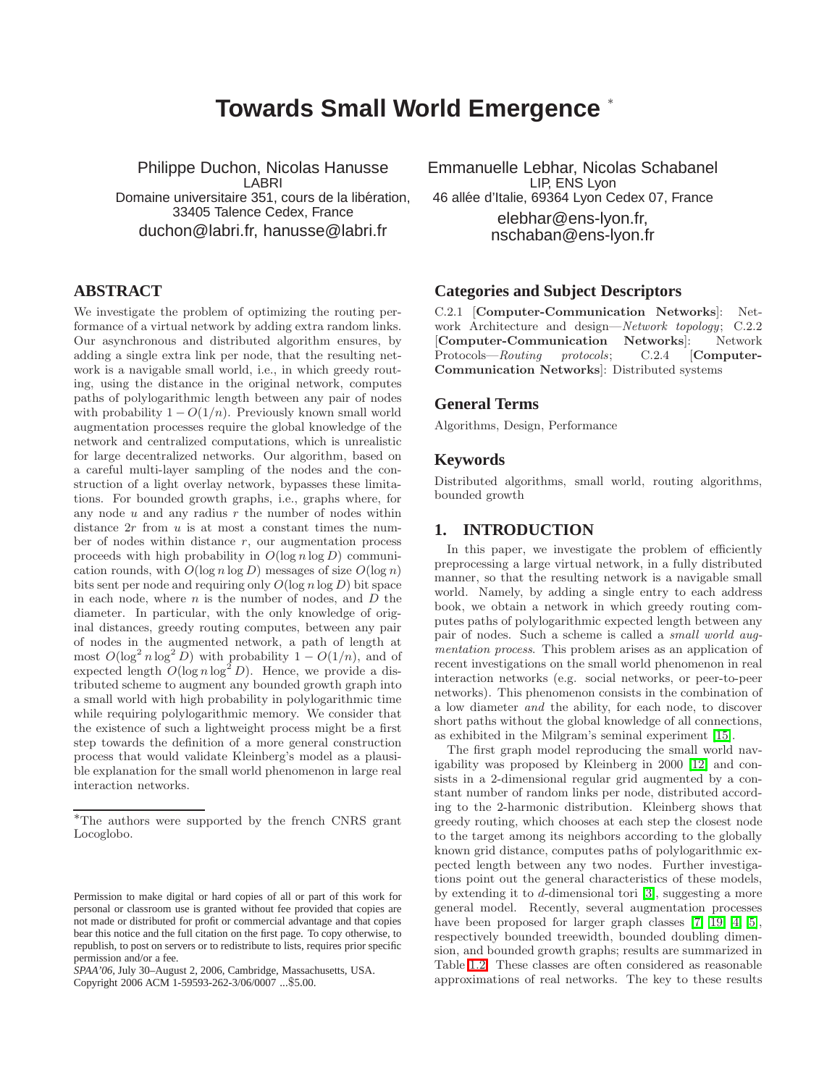# **Towards Small World Emergence** <sup>∗</sup>

Philippe Duchon, Nicolas Hanusse LABRI Domaine universitaire 351, cours de la libération, 33405 Talence Cedex, France duchon@labri.fr, hanusse@labri.fr

# **ABSTRACT**

We investigate the problem of optimizing the routing performance of a virtual network by adding extra random links. Our asynchronous and distributed algorithm ensures, by adding a single extra link per node, that the resulting network is a navigable small world, i.e., in which greedy routing, using the distance in the original network, computes paths of polylogarithmic length between any pair of nodes with probability  $1 - O(1/n)$ . Previously known small world augmentation processes require the global knowledge of the network and centralized computations, which is unrealistic for large decentralized networks. Our algorithm, based on a careful multi-layer sampling of the nodes and the construction of a light overlay network, bypasses these limitations. For bounded growth graphs, i.e., graphs where, for any node  $u$  and any radius  $r$  the number of nodes within distance  $2r$  from  $u$  is at most a constant times the number of nodes within distance  $r$ , our augmentation process proceeds with high probability in  $O(\log n \log D)$  communication rounds, with  $O(\log n \log D)$  messages of size  $O(\log n)$ bits sent per node and requiring only  $O(\log n \log D)$  bit space in each node, where  $n$  is the number of nodes, and  $D$  the diameter. In particular, with the only knowledge of original distances, greedy routing computes, between any pair of nodes in the augmented network, a path of length at most  $O(\log^2 n \log^2 \overline{D})$  with probability  $1 - O(1/n)$ , and of expected length  $O(\log n \log^2 D)$ . Hence, we provide a distributed scheme to augment any bounded growth graph into a small world with high probability in polylogarithmic time while requiring polylogarithmic memory. We consider that the existence of such a lightweight process might be a first step towards the definition of a more general construction process that would validate Kleinberg's model as a plausible explanation for the small world phenomenon in large real interaction networks.

Emmanuelle Lebhar, Nicolas Schabanel LIP, ENS Lyon 46 allée d'Italie, 69364 Lyon Cedex 07, France elebhar@ens-lyon.fr, nschaban@ens-lyon.fr

# **Categories and Subject Descriptors**

C.2.1 [Computer-Communication Networks]: Network Architecture and design—Network topology; C.2.2 [Computer-Communication Networks]: Network<br>Protocols—*Routing protocols*: C.2.4 [Computer-Protocols—Routing protocols; C.2.4 [Computer-Communication Networks]: Distributed systems

## **General Terms**

Algorithms, Design, Performance

# **Keywords**

Distributed algorithms, small world, routing algorithms, bounded growth

# **1. INTRODUCTION**

In this paper, we investigate the problem of efficiently preprocessing a large virtual network, in a fully distributed manner, so that the resulting network is a navigable small world. Namely, by adding a single entry to each address book, we obtain a network in which greedy routing computes paths of polylogarithmic expected length between any pair of nodes. Such a scheme is called a small world augmentation process. This problem arises as an application of recent investigations on the small world phenomenon in real interaction networks (e.g. social networks, or peer-to-peer networks). This phenomenon consists in the combination of a low diameter and the ability, for each node, to discover short paths without the global knowledge of all connections, as exhibited in the Milgram's seminal experiment [\[15\]](#page-7-0).

The first graph model reproducing the small world navigability was proposed by Kleinberg in 2000 [\[12\]](#page-7-1) and consists in a 2-dimensional regular grid augmented by a constant number of random links per node, distributed according to the 2-harmonic distribution. Kleinberg shows that greedy routing, which chooses at each step the closest node to the target among its neighbors according to the globally known grid distance, computes paths of polylogarithmic expected length between any two nodes. Further investigations point out the general characteristics of these models, by extending it to d-dimensional tori [\[3\]](#page-7-2), suggesting a more general model. Recently, several augmentation processes have been proposed for larger graph classes [\[7,](#page-7-3) [19,](#page-7-4) [4,](#page-7-5) [5\]](#page-7-6), respectively bounded treewidth, bounded doubling dimension, and bounded growth graphs; results are summarized in Table [1.2.](#page-1-0) These classes are often considered as reasonable approximations of real networks. The key to these results

<sup>∗</sup>The authors were supported by the french CNRS grant Locoglobo.

Permission to make digital or hard copies of all or part of this work for personal or classroom use is granted without fee provided that copies are not made or distributed for profit or commercial advantage and that copies bear this notice and the full citation on the first page. To copy otherwise, to republish, to post on servers or to redistribute to lists, requires prior specific permission and/or a fee.

*SPAA'06,* July 30–August 2, 2006, Cambridge, Massachusetts, USA. Copyright 2006 ACM 1-59593-262-3/06/0007 ...\$5.00.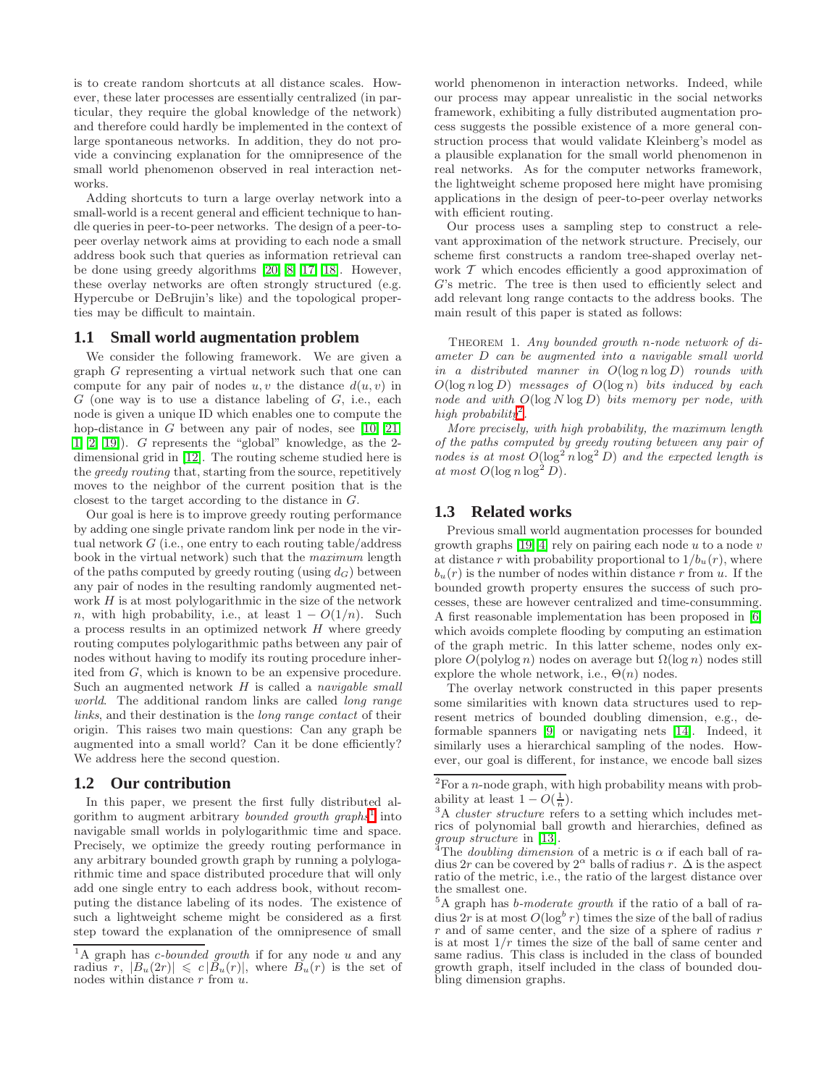is to create random shortcuts at all distance scales. However, these later processes are essentially centralized (in particular, they require the global knowledge of the network) and therefore could hardly be implemented in the context of large spontaneous networks. In addition, they do not provide a convincing explanation for the omnipresence of the small world phenomenon observed in real interaction networks.

Adding shortcuts to turn a large overlay network into a small-world is a recent general and efficient technique to handle queries in peer-to-peer networks. The design of a peer-topeer overlay network aims at providing to each node a small address book such that queries as information retrieval can be done using greedy algorithms [\[20,](#page-7-7) [8,](#page-7-8) [17,](#page-7-9) [18\]](#page-7-10). However, these overlay networks are often strongly structured (e.g. Hypercube or DeBrujin's like) and the topological properties may be difficult to maintain.

#### **1.1 Small world augmentation problem**

We consider the following framework. We are given a graph G representing a virtual network such that one can compute for any pair of nodes  $u, v$  the distance  $d(u, v)$  in  $G$  (one way is to use a distance labeling of  $G$ , i.e., each node is given a unique ID which enables one to compute the hop-distance in G between any pair of nodes, see [\[10,](#page-7-11) [21,](#page-7-12) [1,](#page-7-13) [2,](#page-7-14) [19\]](#page-7-4)). G represents the "global" knowledge, as the 2 dimensional grid in [\[12\]](#page-7-1). The routing scheme studied here is the greedy routing that, starting from the source, repetitively moves to the neighbor of the current position that is the closest to the target according to the distance in G.

Our goal is here is to improve greedy routing performance by adding one single private random link per node in the virtual network  $G$  (i.e., one entry to each routing table/address book in the virtual network) such that the maximum length of the paths computed by greedy routing (using  $d_G$ ) between any pair of nodes in the resulting randomly augmented network  $H$  is at most polylogarithmic in the size of the network n, with high probability, i.e., at least  $1 - O(1/n)$ . Such a process results in an optimized network  $H$  where greedy routing computes polylogarithmic paths between any pair of nodes without having to modify its routing procedure inherited from G, which is known to be an expensive procedure. Such an augmented network  $H$  is called a *navigable small* world. The additional random links are called *long range* links, and their destination is the long range contact of their origin. This raises two main questions: Can any graph be augmented into a small world? Can it be done efficiently? We address here the second question.

#### **1.2 Our contribution**

In this paper, we present the first fully distributed algorithm to augment arbitrary *bounded growth graphs*<sup>[1](#page-1-1)</sup> into navigable small worlds in polylogarithmic time and space. Precisely, we optimize the greedy routing performance in any arbitrary bounded growth graph by running a polylogarithmic time and space distributed procedure that will only add one single entry to each address book, without recomputing the distance labeling of its nodes. The existence of such a lightweight scheme might be considered as a first step toward the explanation of the omnipresence of small

world phenomenon in interaction networks. Indeed, while our process may appear unrealistic in the social networks framework, exhibiting a fully distributed augmentation process suggests the possible existence of a more general construction process that would validate Kleinberg's model as a plausible explanation for the small world phenomenon in real networks. As for the computer networks framework, the lightweight scheme proposed here might have promising applications in the design of peer-to-peer overlay networks with efficient routing.

Our process uses a sampling step to construct a relevant approximation of the network structure. Precisely, our scheme first constructs a random tree-shaped overlay network  $\mathcal T$  which encodes efficiently a good approximation of G's metric. The tree is then used to efficiently select and add relevant long range contacts to the address books. The main result of this paper is stated as follows:

<span id="page-1-0"></span>THEOREM 1. Any bounded growth n-node network of diameter D can be augmented into a navigable small world in a distributed manner in  $O(\log n \log D)$  rounds with  $O(\log n \log D)$  messages of  $O(\log n)$  bits induced by each node and with  $O(\log N \log D)$  bits memory per node, with high probability<sup>[2](#page-1-2)</sup>.

More precisely, with high probability, the maximum length of the paths computed by greedy routing between any pair of nodes is at most  $O(\log^2 n \log^2 D)$  and the expected length is at most  $O(\log n \log^2 D)$ .

# **1.3 Related works**

Previous small world augmentation processes for bounded growth graphs [\[19,](#page-7-4) [4\]](#page-7-5) rely on pairing each node  $u$  to a node  $v$ at distance r with probability proportional to  $1/b_u(r)$ , where  $b_u(r)$  is the number of nodes within distance r from u. If the bounded growth property ensures the success of such processes, these are however centralized and time-consumming. A first reasonable implementation has been proposed in [\[6\]](#page-7-15) which avoids complete flooding by computing an estimation of the graph metric. In this latter scheme, nodes only explore  $O(\text{polylog } n)$  nodes on average but  $\Omega(\log n)$  nodes still explore the whole network, i.e.,  $\Theta(n)$  nodes.

The overlay network constructed in this paper presents some similarities with known data structures used to represent metrics of bounded doubling dimension, e.g., deformable spanners [\[9\]](#page-7-16) or navigating nets [\[14\]](#page-7-17). Indeed, it similarly uses a hierarchical sampling of the nodes. However, our goal is different, for instance, we encode ball sizes

<span id="page-1-1"></span><sup>&</sup>lt;sup>1</sup>A graph has *c*-bounded growth if for any node u and any radius r,  $|B_u(2r)| \leq c |\check{B}_u(r)|$ , where  $\check{B}_u(r)$  is the set of nodes within distance  $r$  from  $u$ .

<span id="page-1-2"></span> $2F$ or a *n*-node graph, with high probability means with probability at least  $1 - O(\frac{1}{n})$ .

<sup>&</sup>lt;sup>3</sup>A cluster structure refers to a setting which includes metrics of polynomial ball growth and hierarchies, defined as group structure in [\[13\]](#page-7-18).

<sup>&</sup>lt;sup>4</sup>The *doubling dimension* of a metric is  $\alpha$  if each ball of radius 2r can be covered by 2<sup> $\alpha$ </sup> balls of radius r.  $\Delta$  is the aspect ratio of the metric, i.e., the ratio of the largest distance over the smallest one.

<sup>5</sup>A graph has b-moderate growth if the ratio of a ball of radius  $2r$  is at most  $O(\log^b r)$  times the size of the ball of radius  $r$  and of same center, and the size of a sphere of radius  $r$ is at most  $1/r$  times the size of the ball of same center and same radius. This class is included in the class of bounded growth graph, itself included in the class of bounded doubling dimension graphs.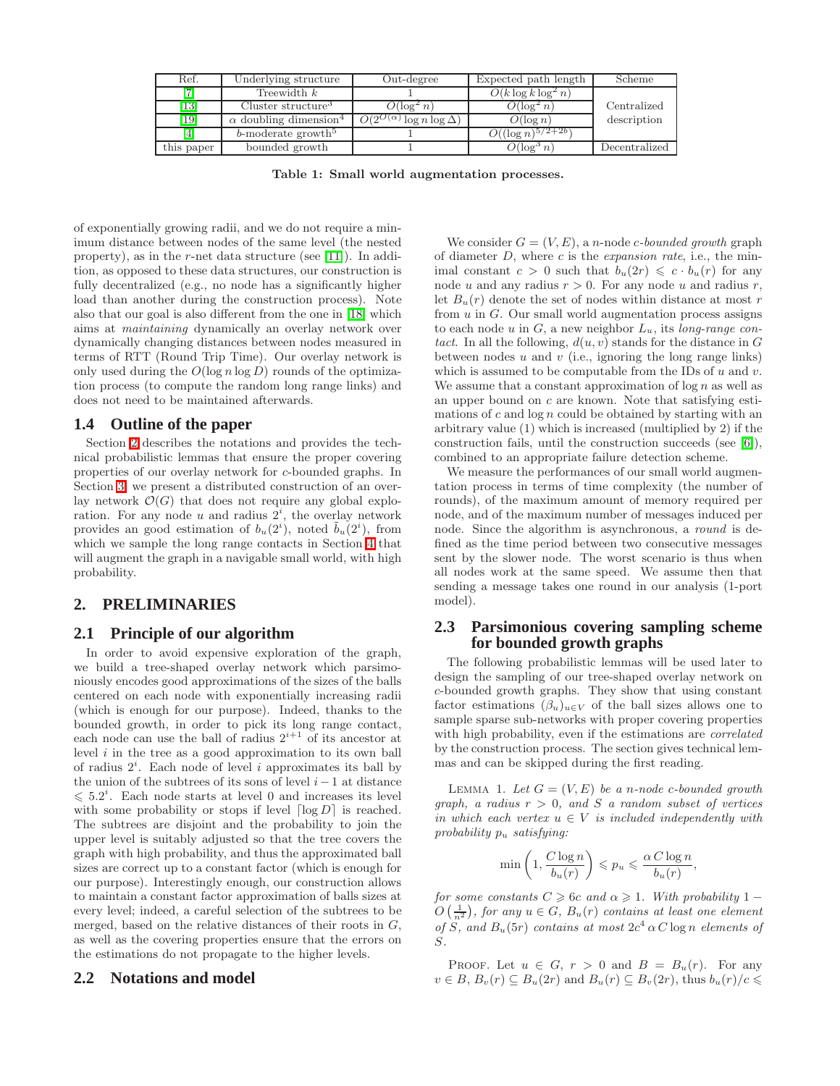| Ref.              | Underlying structure                     | $Out-degree$                       | Expected path length   | Scheme        |
|-------------------|------------------------------------------|------------------------------------|------------------------|---------------|
|                   | Treewidth $k$                            |                                    | $O(k \log k \log^2 n)$ |               |
| $\left 13\right $ | Cluster structure <sup>3</sup>           | $O(\log^2 n)$                      | $O(\log^2 n)$          | Centralized   |
| $[19]$            | $\alpha$ doubling dimension <sup>4</sup> | $O(2^{O(\alpha)}\log n\log\Delta)$ | $O(\log n)$            | description   |
| 14                | $b$ -moderate growth <sup>5</sup>        |                                    | $O((\log n)^{5/2+2b})$ |               |
| this paper        | bounded growth                           |                                    | $O(\log^3 n)$          | Decentralized |

Table 1: Small world augmentation processes.

of exponentially growing radii, and we do not require a minimum distance between nodes of the same level (the nested property), as in the r-net data structure (see [\[11\]](#page-7-19)). In addition, as opposed to these data structures, our construction is fully decentralized (e.g., no node has a significantly higher load than another during the construction process). Note also that our goal is also different from the one in [\[18\]](#page-7-10) which aims at maintaining dynamically an overlay network over dynamically changing distances between nodes measured in terms of RTT (Round Trip Time). Our overlay network is only used during the  $O(\log n \log D)$  rounds of the optimization process (to compute the random long range links) and does not need to be maintained afterwards.

### **1.4 Outline of the paper**

Section [2](#page-2-0) describes the notations and provides the technical probabilistic lemmas that ensure the proper covering properties of our overlay network for c-bounded graphs. In Section [3,](#page-3-0) we present a distributed construction of an overlay network  $\mathcal{O}(G)$  that does not require any global exploration. For any node u and radius  $2^i$ , the overlay network provides an good estimation of  $b_u(2^i)$ , noted  $\tilde{b}_u(2^i)$ , from which we sample the long range contacts in Section [4](#page-5-0) that will augment the graph in a navigable small world, with high probability.

# <span id="page-2-0"></span>**2. PRELIMINARIES**

## **2.1 Principle of our algorithm**

In order to avoid expensive exploration of the graph, we build a tree-shaped overlay network which parsimoniously encodes good approximations of the sizes of the balls centered on each node with exponentially increasing radii (which is enough for our purpose). Indeed, thanks to the bounded growth, in order to pick its long range contact, each node can use the ball of radius  $2^{i+1}$  of its ancestor at level  $i$  in the tree as a good approximation to its own ball of radius  $2^i$ . Each node of level i approximates its ball by the union of the subtrees of its sons of level  $i-1$  at distance  $\leqslant 5.2^i$ . Each node starts at level 0 and increases its level with some probability or stops if level  $\lceil \log D \rceil$  is reached. The subtrees are disjoint and the probability to join the upper level is suitably adjusted so that the tree covers the graph with high probability, and thus the approximated ball sizes are correct up to a constant factor (which is enough for our purpose). Interestingly enough, our construction allows to maintain a constant factor approximation of balls sizes at every level; indeed, a careful selection of the subtrees to be merged, based on the relative distances of their roots in  $G$ , as well as the covering properties ensure that the errors on the estimations do not propagate to the higher levels.

#### **2.2 Notations and model**

We consider  $G = (V, E)$ , a n-node c-bounded growth graph of diameter  $D$ , where  $c$  is the *expansion rate*, i.e., the minimal constant  $c > 0$  such that  $b_u(2r) \leq c \cdot b_u(r)$  for any node u and any radius  $r > 0$ . For any node u and radius r, let  $B_u(r)$  denote the set of nodes within distance at most r from  $u$  in  $G$ . Our small world augmentation process assigns to each node  $u$  in  $G$ , a new neighbor  $L_u$ , its long-range contact. In all the following,  $d(u, v)$  stands for the distance in G between nodes  $u$  and  $v$  (i.e., ignoring the long range links) which is assumed to be computable from the IDs of  $u$  and  $v$ . We assume that a constant approximation of  $\log n$  as well as an upper bound on c are known. Note that satisfying estimations of  $c$  and  $\log n$  could be obtained by starting with an arbitrary value (1) which is increased (multiplied by 2) if the construction fails, until the construction succeeds (see [\[6\]](#page-7-15)), combined to an appropriate failure detection scheme.

We measure the performances of our small world augmentation process in terms of time complexity (the number of rounds), of the maximum amount of memory required per node, and of the maximum number of messages induced per node. Since the algorithm is asynchronous, a round is defined as the time period between two consecutive messages sent by the slower node. The worst scenario is thus when all nodes work at the same speed. We assume then that sending a message takes one round in our analysis (1-port model).

# **2.3 Parsimonious covering sampling scheme for bounded growth graphs**

The following probabilistic lemmas will be used later to design the sampling of our tree-shaped overlay network on c-bounded growth graphs. They show that using constant factor estimations  $(\beta_u)_{u \in V}$  of the ball sizes allows one to sample sparse sub-networks with proper covering properties with high probability, even if the estimations are *correlated* by the construction process. The section gives technical lemmas and can be skipped during the first reading.

LEMMA 1. Let  $G = (V, E)$  be a n-node c-bounded growth graph, a radius  $r > 0$ , and S a random subset of vertices in which each vertex  $u \in V$  is included independently with probability  $p_u$  satisfying:

<span id="page-2-1"></span>
$$
\min\left(1,\frac{C\log n}{b_u(r)}\right) \leqslant p_u \leqslant \frac{\alpha C\log n}{b_u(r)},
$$

for some constants  $C \geq 6c$  and  $\alpha \geq 1$ . With probability 1 –  $O\left(\frac{1}{n^2}\right)$ , for any  $u \in G$ ,  $B_u(r)$  contains at least one element of S, and  $B_u(5r)$  contains at most  $2c^4 \alpha C \log n$  elements of S.

PROOF. Let  $u \in G$ ,  $r > 0$  and  $B = B_u(r)$ . For any  $v \in B$ ,  $B_v(r) \subseteq B_u(2r)$  and  $B_u(r) \subseteq B_v(2r)$ , thus  $b_u(r)/c \leq$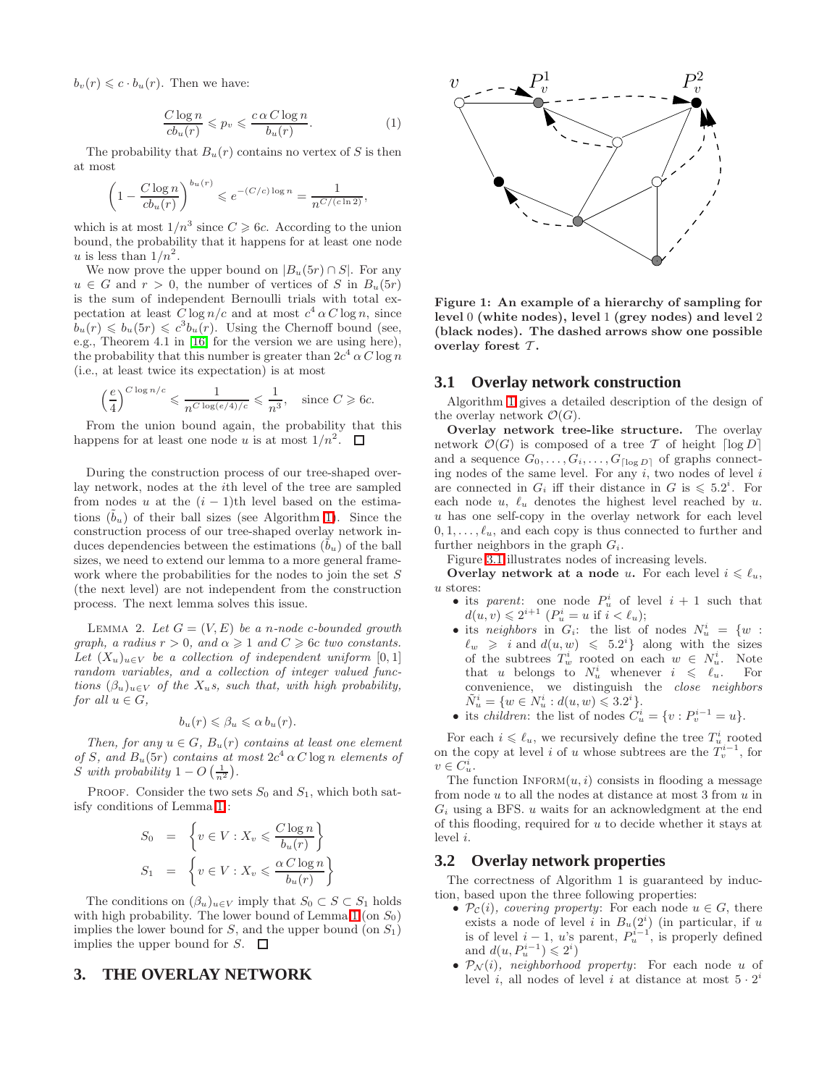$b_v(r) \leqslant c \cdot b_u(r)$ . Then we have:

$$
\frac{C \log n}{cb_u(r)} \leqslant p_v \leqslant \frac{c \alpha C \log n}{b_u(r)}.\tag{1}
$$

The probability that  $B_u(r)$  contains no vertex of S is then at most

$$
\left(1 - \frac{C \log n}{c b_u(r)}\right)^{b_u(r)} \leqslant e^{-(C/c) \log n} = \frac{1}{n^{C/(c \ln 2)}},
$$

which is at most  $1/n^3$  since  $C \ge 6c$ . According to the union bound, the probability that it happens for at least one node u is less than  $1/n^2$ .

We now prove the upper bound on  $|B_u(5r) \cap S|$ . For any  $u \in G$  and  $r > 0$ , the number of vertices of S in  $B_u(5r)$ is the sum of independent Bernoulli trials with total expectation at least  $C \log n/c$  and at most  $c^4 \alpha C \log n$ , since  $b_u(r) \leqslant b_u(5r) \leqslant c^3b_u(r)$ . Using the Chernoff bound (see, e.g., Theorem 4.1 in [\[16\]](#page-7-20) for the version we are using here), the probability that this number is greater than  $2c^4 \alpha C \log n$ (i.e., at least twice its expectation) is at most

$$
\left(\frac{e}{4}\right)^{C\log n/c}\leqslant \frac{1}{n^{C\log(e/4)/c}}\leqslant \frac{1}{n^3},\quad \text{since }C\geqslant 6c.
$$

From the union bound again, the probability that this happens for at least one node u is at most  $1/n^2$ .

During the construction process of our tree-shaped overlay network, nodes at the ith level of the tree are sampled from nodes u at the  $(i - 1)$ th level based on the estimations  $(b_u)$  of their ball sizes (see Algorithm [1\)](#page-4-0). Since the construction process of our tree-shaped overlay network induces dependencies between the estimations  $(b_u)$  of the ball sizes, we need to extend our lemma to a more general framework where the probabilities for the nodes to join the set S (the next level) are not independent from the construction process. The next lemma solves this issue.

<span id="page-3-2"></span>LEMMA 2. Let  $G = (V, E)$  be a n-node c-bounded growth qraph, a radius  $r > 0$ , and  $\alpha \geq 1$  and  $C \geq 6c$  two constants. Let  $(X_u)_{u \in V}$  be a collection of independent uniform [0, 1] random variables, and a collection of integer valued functions  $(\beta_u)_{u \in V}$  of the  $X_us$ , such that, with high probability, for all  $u \in G$ ,

$$
b_u(r) \leqslant \beta_u \leqslant \alpha b_u(r).
$$

Then, for any  $u \in G$ ,  $B_u(r)$  contains at least one element of S, and  $B_u(5r)$  contains at most  $2c^4 \alpha C \log n$  elements of S with probability  $1 - O\left(\frac{1}{n^2}\right)$ .

PROOF. Consider the two sets  $S_0$  and  $S_1$ , which both satisfy conditions of Lemma [1](#page-2-1) :

$$
S_0 = \left\{ v \in V : X_v \leqslant \frac{C \log n}{b_u(r)} \right\}
$$
  

$$
S_1 = \left\{ v \in V : X_v \leqslant \frac{\alpha C \log n}{b_u(r)} \right\}
$$

The conditions on  $(\beta_u)_{u \in V}$  imply that  $S_0 \subset S \subset S_1$  holds with high probability. The lower bound of Lemma [1](#page-2-1) (on  $S_0$ ) implies the lower bound for  $S$ , and the upper bound (on  $S_1$ ) implies the upper bound for  $S$ .  $\square$ 

# <span id="page-3-0"></span>**3. THE OVERLAY NETWORK**



Figure 1: An example of a hierarchy of sampling for level 0 (white nodes), level 1 (grey nodes) and level 2 (black nodes). The dashed arrows show one possible overlay forest  $\mathcal{T}$ .

### <span id="page-3-1"></span>**3.1 Overlay network construction**

Algorithm [1](#page-4-0) gives a detailed description of the design of the overlay network  $\mathcal{O}(G)$ .

Overlay network tree-like structure. The overlay network  $\mathcal{O}(G)$  is composed of a tree T of height  $\lceil \log D \rceil$ and a sequence  $G_0, \ldots, G_i, \ldots, G_{\lceil \log D \rceil}$  of graphs connecting nodes of the same level. For any  $i$ , two nodes of level  $i$ are connected in  $G_i$  iff their distance in  $G$  is  $\leqslant 5.2^i$ . For each node u,  $\ell_u$  denotes the highest level reached by u.  $u$  has one self-copy in the overlay network for each level  $0, 1, \ldots, \ell_u$ , and each copy is thus connected to further and further neighbors in the graph  $G_i$ .

Figure [3.1](#page-3-1) illustrates nodes of increasing levels.

Overlay network at a node u. For each level  $i \leq \ell_u$ , u stores:

- its parent: one node  $P_u^i$  of level  $i + 1$  such that  $d(u, v) \leq 2^{i+1}$   $(P_u^i = u \text{ if } i < l_u);$
- its neighbors in  $G_i$ : the list of nodes  $N_u^i = \{w :$  $\ell_w \geq i$  and  $d(u, w) \leq 5.2^i$  along with the sizes of the subtrees  $T_w^i$  rooted on each  $w \in N_u^i$ . Note that u belongs to  $N_u^i$  whenever  $i \leq \ell_u$ . For convenience, we distinguish the *close neighbors*  $\tilde{N}_u^i = \{ w \in N_u^i : d(u, w) \leq 3.2^i \}.$
- its *children*: the list of nodes  $C_u^i = \{v : P_v^{i-1} = u\}.$

For each  $i \leq \ell_u$ , we recursively define the tree  $T_u^i$  rooted on the copy at level *i* of u whose subtrees are the  $T_v^{i-1}$ , for  $v \in C_u^i$ .

The function  $INFORM(u, i)$  consists in flooding a message from node  $u$  to all the nodes at distance at most 3 from  $u$  in  $G_i$  using a BFS. u waits for an acknowledgment at the end of this flooding, required for u to decide whether it stays at level i.

#### **3.2 Overlay network properties**

The correctness of Algorithm 1 is guaranteed by induction, based upon the three following properties:

- $\mathcal{P}_{\mathcal{C}}(i)$ , covering property: For each node  $u \in G$ , there exists a node of level i in  $B_u(2^i)$  (in particular, if u is of level  $i-1$ , u's parent,  $P_u^{i-1}$ , is properly defined and  $d(u, P_u^{i-1}) \leqslant 2^i$ )
- $\mathcal{P}_{\mathcal{N}}(i)$ , neighborhood property: For each node u of level *i*, all nodes of level *i* at distance at most  $5 \cdot 2^i$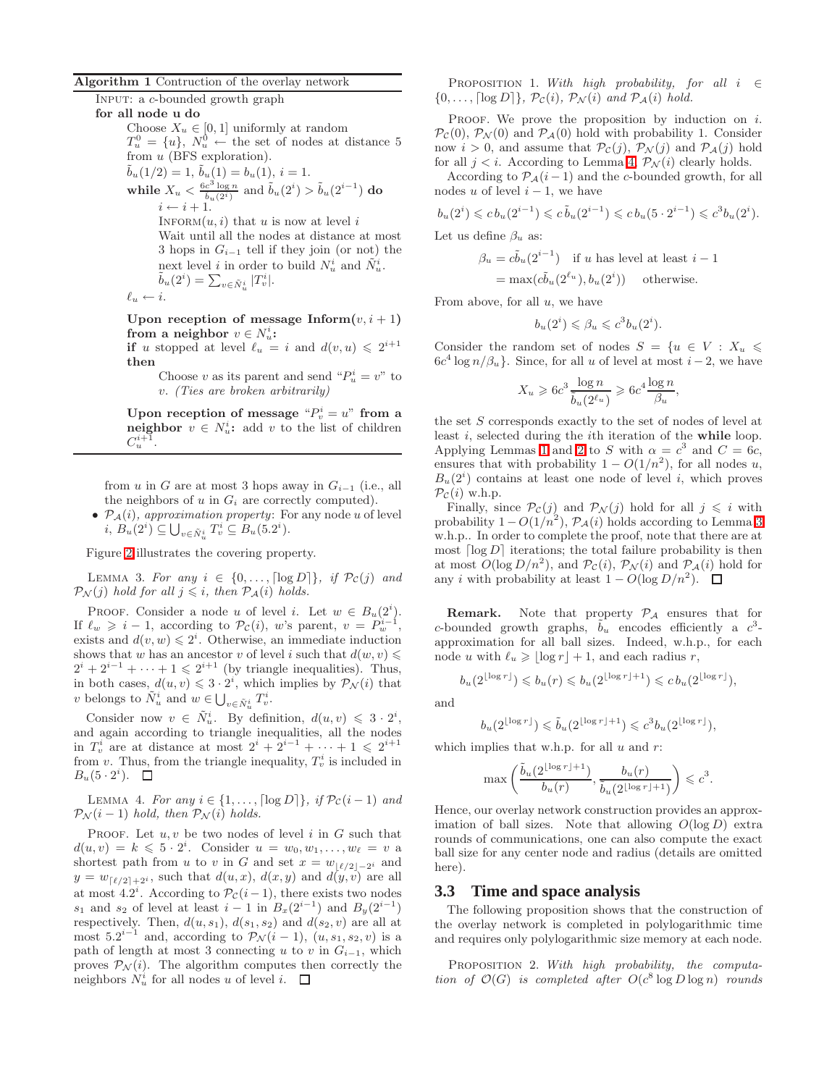#### <span id="page-4-0"></span>Algorithm 1 Contruction of the overlay network

Input: a c-bounded growth graph

for all node u do Choose  $X_u \in [0, 1]$  uniformly at random  $T_u^0 = \{u\},\ N_u^0 \leftarrow$  the set of nodes at distance 5 from u (BFS exploration).  $\tilde{b}_u(1/2) = 1, \tilde{b}_u(1) = b_u(1), i = 1.$ while  $X_u < \frac{6c^3 \log n}{\tilde{b}_u(2^i)}$  and  $\tilde{b}_u(2^i) > \tilde{b}_u(2^{i-1})$  do  $i \leftarrow i + 1.$ INFORM $(u, i)$  that u is now at level i Wait until all the nodes at distance at most 3 hops in  $G_{i-1}$  tell if they join (or not) the next level *i* in order to build  $N_u^i$  and  $\tilde{N}_u^i$ .  $\tilde{b}_u(2^i) = \sum_{v \in \tilde{N}_u^i} |T_v^i|.$  $\ell_u \leftarrow i.$ 

Upon reception of message Inform $(v, i + 1)$ from a neighbor  $v \in N_u^i$ : if u stopped at level  $\ell_u = i$  and  $d(v, u) \leq 2^{i+1}$ then

Choose v as its parent and send " $P_u^i = v$ " to v. (Ties are broken arbitrarily)

Upon reception of message " $P_v^i = u$ " from a neighbor  $v \in N_u^i$ : add v to the list of children  $C_u^{i+1}$ .

from u in G are at most 3 hops away in  $G_{i-1}$  (i.e., all the neighbors of  $u$  in  $G_i$  are correctly computed).

•  $\mathcal{P}_{\mathcal{A}}(i)$ , approximation property: For any node u of level  $i, B_u(2^i) \subseteq \bigcup_{v \in \tilde{N}_u^i} T_v^i \subseteq B_u(5.2^i).$ 

Figure [2](#page-5-1) illustrates the covering property.

<span id="page-4-2"></span>LEMMA 3. For any  $i \in \{0, ..., \lceil \log D \rceil\}$ , if  $\mathcal{P}_c(j)$  and  $\mathcal{P}_{\mathcal{N}}(j)$  hold for all  $j \leqslant i$ , then  $\mathcal{P}_{\mathcal{A}}(i)$  holds.

PROOF. Consider a node u of level i. Let  $w \in B_u(2^i)$ . If  $\ell_w \geq i-1$ , according to  $\mathcal{P}_{\mathcal{C}}(i)$ , w's parent,  $v = P_w^{i-1}$ , exists and  $d(v, w) \leq 2^i$ . Otherwise, an immediate induction shows that w has an ancestor v of level i such that  $d(w, v) \leq$  $2^{i} + 2^{i-1} + \cdots + 1 \leq 2^{i+1}$  (by triangle inequalities). Thus, in both cases,  $d(u, v) \leqslant 3 \cdot 2^i$ , which implies by  $\mathcal{P}_{\mathcal{N}}(i)$  that v belongs to  $\tilde{N}_u^i$  and  $w \in \bigcup_{v \in \tilde{N}_u^i} T_v^i$ .

Consider now  $v \in \tilde{N}_u^i$ . By definition,  $d(u, v) \leq 3 \cdot 2^i$ , and again according to triangle inequalities, all the nodes in  $T_v^i$  are at distance at most  $2^i + 2^{i-1} + \cdots + 1 \leq 2^{i+1}$ from v. Thus, from the triangle inequality,  $T_v^i$  is included in  $B_u(5 \cdot 2^i).$ 

<span id="page-4-1"></span>LEMMA 4. For any  $i \in \{1, ..., \lceil \log D \rceil\}$ , if  $\mathcal{P}_{\mathcal{C}}(i-1)$  and  $\mathcal{P}_{\mathcal{N}}(i-1)$  hold, then  $\mathcal{P}_{\mathcal{N}}(i)$  holds.

PROOF. Let  $u, v$  be two nodes of level i in G such that  $d(u, v) = k \leqslant 5 \cdot 2^i$ . Consider  $u = w_0, w_1, \ldots, w_\ell = v$  a shortest path from u to v in G and set  $x = w_{\lceil \ell/2 \rceil - 2^i}$  and  $y = w_{\lceil \ell/2 \rceil + 2^i}$ , such that  $d(u, x)$ ,  $d(x, y)$  and  $d(y, v)$  are all at most 4.2<sup>*i*</sup>. According to  $\mathcal{P}_{\mathcal{C}}(i-1)$ , there exists two nodes s<sub>1</sub> and s<sub>2</sub> of level at least  $i-1$  in  $B_x(2^{i-1})$  and  $B_y(2^{i-1})$ respectively. Then,  $d(u, s_1)$ ,  $d(s_1, s_2)$  and  $d(s_2, v)$  are all at most  $5.2^{i-1}$  and, according to  $\mathcal{P}_{\mathcal{N}}(i-1)$ ,  $(u, s_1, s_2, v)$  is a path of length at most 3 connecting u to v in  $G_{i-1}$ , which proves  $P_N(i)$ . The algorithm computes then correctly the neighbors  $N_u^i$  for all nodes u of level i.

<span id="page-4-3"></span>PROPOSITION 1. With high probability, for all  $i \in$  $\{0, \ldots, \lceil \log D \rceil\}, \, \mathcal{P}_{\mathcal{C}}(i), \, \mathcal{P}_{\mathcal{N}}(i) \, \text{ and } \mathcal{P}_{\mathcal{A}}(i) \, \text{ hold.}$ 

PROOF. We prove the proposition by induction on  $i$ .  $\mathcal{P}_{\mathcal{C}}(0), \mathcal{P}_{\mathcal{N}}(0)$  and  $\mathcal{P}_{\mathcal{A}}(0)$  hold with probability 1. Consider now  $i > 0$ , and assume that  $\mathcal{P}_{\mathcal{C}}(j)$ ,  $\mathcal{P}_{\mathcal{N}}(j)$  and  $\mathcal{P}_{\mathcal{A}}(j)$  hold for all  $j < i$ . According to Lemma [4,](#page-4-1)  $\mathcal{P}_{\mathcal{N}}(i)$  clearly holds.

According to  $\mathcal{P}_{\mathcal{A}}(i-1)$  and the c-bounded growth, for all nodes u of level  $i - 1$ , we have

$$
b_u(2^i) \leqslant c \, b_u(2^{i-1}) \leqslant c \, \tilde{b}_u(2^{i-1}) \leqslant c \, b_u(5 \cdot 2^{i-1}) \leqslant c^3 b_u(2^i).
$$

Let us define  $\beta_u$  as:

$$
\beta_u = c\tilde{b}_u(2^{i-1})
$$
 if u has level at least  $i-1$   
= max $(c\tilde{b}_u(2^{\ell_u}), b_u(2^i))$  otherwise.

From above, for all  $u$ , we have

$$
b_u(2^i) \leq \beta_u \leq c^3 b_u(2^i).
$$

Consider the random set of nodes  $S = \{u \in V : X_u \leq$  $6c<sup>4</sup> \log n/\beta_u$ . Since, for all u of level at most  $i-2$ , we have

$$
X_u \geqslant 6c^3 \frac{\log n}{\tilde{b}_u(2^{\ell_u})} \geqslant 6c^4 \frac{\log n}{\beta_u},
$$

the set  $S$  corresponds exactly to the set of nodes of level at least i, selected during the ith iteration of the while loop. Applying Lemmas [1](#page-2-1) and [2](#page-3-2) to S with  $\alpha = c^3$  and  $C = 6c$ , ensures that with probability  $1 - O(1/n^2)$ , for all nodes u,  $B_u(2^i)$  contains at least one node of level i, which proves  $\mathcal{P}_{\mathcal{C}}(i)$  w.h.p.

Finally, since  $\mathcal{P}_{\mathcal{C}}(j)$  and  $\mathcal{P}_{\mathcal{N}}(j)$  hold for all  $j \leq i$  with probability  $1-O(1/n^2)$ ,  $P_A(i)$  holds according to Lemma [3](#page-4-2) w.h.p.. In order to complete the proof, note that there are at most  $\lceil \log D \rceil$  iterations; the total failure probability is then at most  $O(\log D/n^2)$ , and  $P_{\mathcal{C}}(i)$ ,  $P_{\mathcal{N}}(i)$  and  $P_{\mathcal{A}}(i)$  hold for any *i* with probability at least  $1 - O(\log D/n^2)$ .

**Remark.** Note that property  $P_A$  ensures that for c-bounded growth graphs,  $\tilde{b}_u$  encodes efficiently a  $c^3$ approximation for all ball sizes. Indeed, w.h.p., for each node u with  $\ell_u \geqslant \lfloor \log r \rfloor + 1$ , and each radius r,

 $b_u(2^{\lfloor \log r \rfloor}) \leqslant b_u(r) \leqslant b_u(2^{\lfloor \log r \rfloor + 1}) \leqslant c b_u(2^{\lfloor \log r \rfloor}),$ 

and

$$
b_u(2^{\lfloor \log r \rfloor}) \leq \tilde{b}_u(2^{\lfloor \log r \rfloor + 1}) \leq c^3 b_u(2^{\lfloor \log r \rfloor}),
$$

which implies that w.h.p. for all  $u$  and  $r$ :

$$
\max\left(\frac{\tilde{b}_u(2^{\lfloor \log r \rfloor + 1})}{b_u(r)}, \frac{b_u(r)}{\tilde{b}_u(2^{\lfloor \log r \rfloor + 1})}\right) \leqslant c^3.
$$

Hence, our overlay network construction provides an approximation of ball sizes. Note that allowing  $O(\log D)$  extra rounds of communications, one can also compute the exact ball size for any center node and radius (details are omitted here).

#### **3.3 Time and space analysis**

The following proposition shows that the construction of the overlay network is completed in polylogarithmic time and requires only polylogarithmic size memory at each node.

<span id="page-4-4"></span>PROPOSITION 2. With high probability, the computation of  $\mathcal{O}(G)$  is completed after  $O(c^8 \log D \log n)$  rounds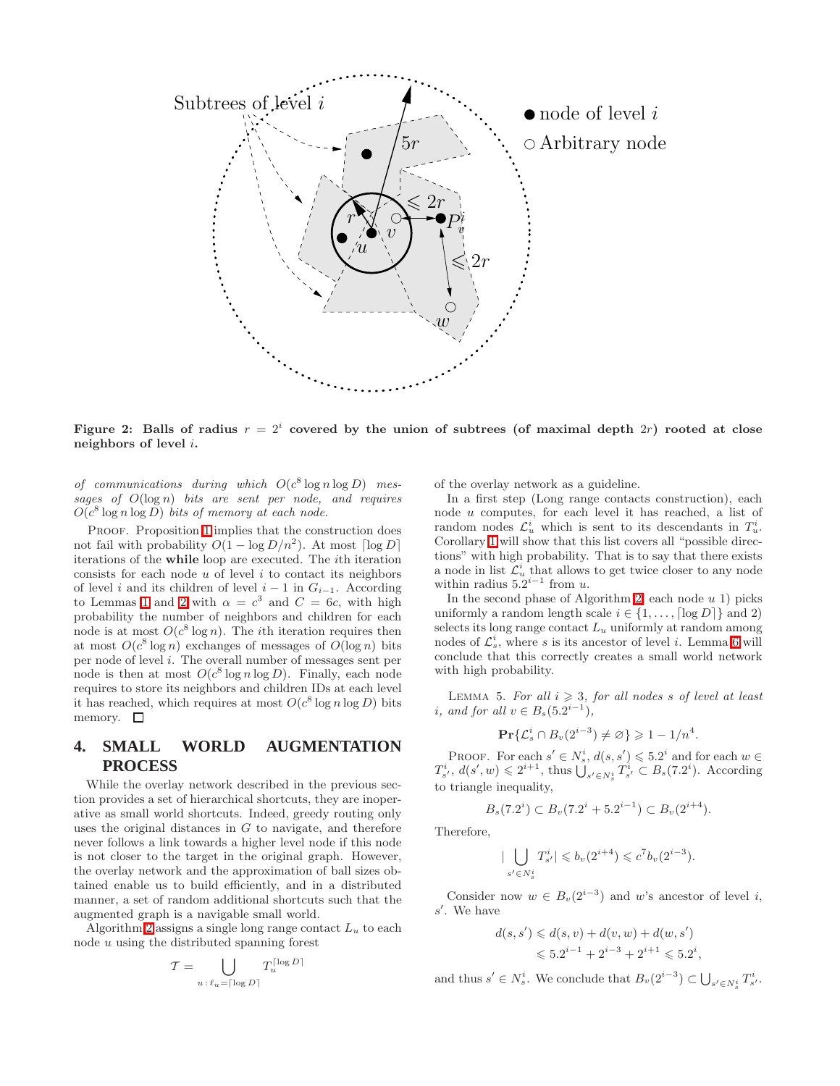

<span id="page-5-1"></span>Figure 2: Balls of radius  $r = 2<sup>i</sup>$  covered by the union of subtrees (of maximal depth 2r) rooted at close neighbors of level i.

of communications during which  $O(c^8 \log n \log D)$  messages of  $O(\log n)$  bits are sent per node, and requires  $O(c^8 \log n \log D)$  bits of memory at each node.

PROOF. Proposition [1](#page-4-3) implies that the construction does not fail with probability  $O(1 - \log D/n^2)$ . At most  $\lceil \log D \rceil$ iterations of the while loop are executed. The ith iteration consists for each node  $u$  of level  $i$  to contact its neighbors of level i and its children of level  $i - 1$  in  $G_{i-1}$ . According to Lemmas [1](#page-2-1) and [2](#page-3-2) with  $\alpha = c^3$  and  $C = 6c$ , with high probability the number of neighbors and children for each node is at most  $O(c^8 \log n)$ . The *i*th iteration requires then at most  $O(c^8 \log n)$  exchanges of messages of  $O(\log n)$  bits per node of level i. The overall number of messages sent per node is then at most  $O(c^8 \log n \log D)$ . Finally, each node requires to store its neighbors and children IDs at each level it has reached, which requires at most  $O(c^8 \log n \log D)$  bits memory.  $\square$ 

# <span id="page-5-0"></span>**4. SMALL WORLD AUGMENTATION PROCESS**

While the overlay network described in the previous section provides a set of hierarchical shortcuts, they are inoperative as small world shortcuts. Indeed, greedy routing only uses the original distances in  $G$  to navigate, and therefore never follows a link towards a higher level node if this node is not closer to the target in the original graph. However, the overlay network and the approximation of ball sizes obtained enable us to build efficiently, and in a distributed manner, a set of random additional shortcuts such that the augmented graph is a navigable small world.

Algorithm [2](#page-6-0) assigns a single long range contact  $L<sub>u</sub>$  to each node  $u$  using the distributed spanning forest

$$
\mathcal{T} = \bigcup_{u \; : \; \ell_u = \lceil \log D \rceil} T_u^{\lceil \log D \rceil}
$$

of the overlay network as a guideline.

In a first step (Long range contacts construction), each node u computes, for each level it has reached, a list of random nodes  $\mathcal{L}_u^i$  which is sent to its descendants in  $T_u^i$ . Corollary [1](#page-6-1) will show that this list covers all "possible directions" with high probability. That is to say that there exists a node in list  $\mathcal{L}_u^i$  that allows to get twice closer to any node within radius  $5.2^{i-1}$  from u.

In the second phase of Algorithm [2,](#page-6-0) each node  $u$  1) picks uniformly a random length scale  $i \in \{1, \ldots, \lceil \log D \rceil\}$  and 2) selects its long range contact  $L<sub>u</sub>$  uniformly at random among nodes of  $\mathcal{L}_s^i$ , where s is its ancestor of level i. Lemma [6](#page-6-2) will conclude that this correctly creates a small world network with high probability.

LEMMA 5. For all  $i \geqslant 3$ , for all nodes s of level at least i, and for all  $v \in B_s(5.2^{i-1}),$ 

$$
\mathbf{Pr}\{\mathcal{L}_s^i \cap B_v(2^{i-3}) \neq \varnothing\} \geq 1 - 1/n^4.
$$

PROOF. For each  $s' \in N_s^i$ ,  $d(s, s') \leqslant 5.2^i$  and for each  $w \in$  $T_{s'}^{i}$ ,  $d(s', w) \leq 2^{i+1}$ , thus  $\bigcup_{s' \in N_s^i} T_{s'}^{i} \subset B_s(7.2^i)$ . According to triangle inequality,

$$
B_s(7.2^i) \subset B_v(7.2^i + 5.2^{i-1}) \subset B_v(2^{i+4}).
$$

Therefore,

$$
|\bigcup_{s' \in N_s^i} T_{s'}^i| \leq b_v(2^{i+4}) \leq c^7 b_v(2^{i-3}).
$$

Consider now  $w \in B_v(2^{i-3})$  and w's ancestor of level i, s ′ . We have

$$
d(s, s') \le d(s, v) + d(v, w) + d(w, s')
$$
  

$$
\le 5 \cdot 2^{i-1} + 2^{i-3} + 2^{i+1} \le 5 \cdot 2^i,
$$

and thus  $s' \in N_s^i$ . We conclude that  $B_v(2^{i-3}) \subset \bigcup_{s' \in N_s^i} T_{s'}^{i}$ .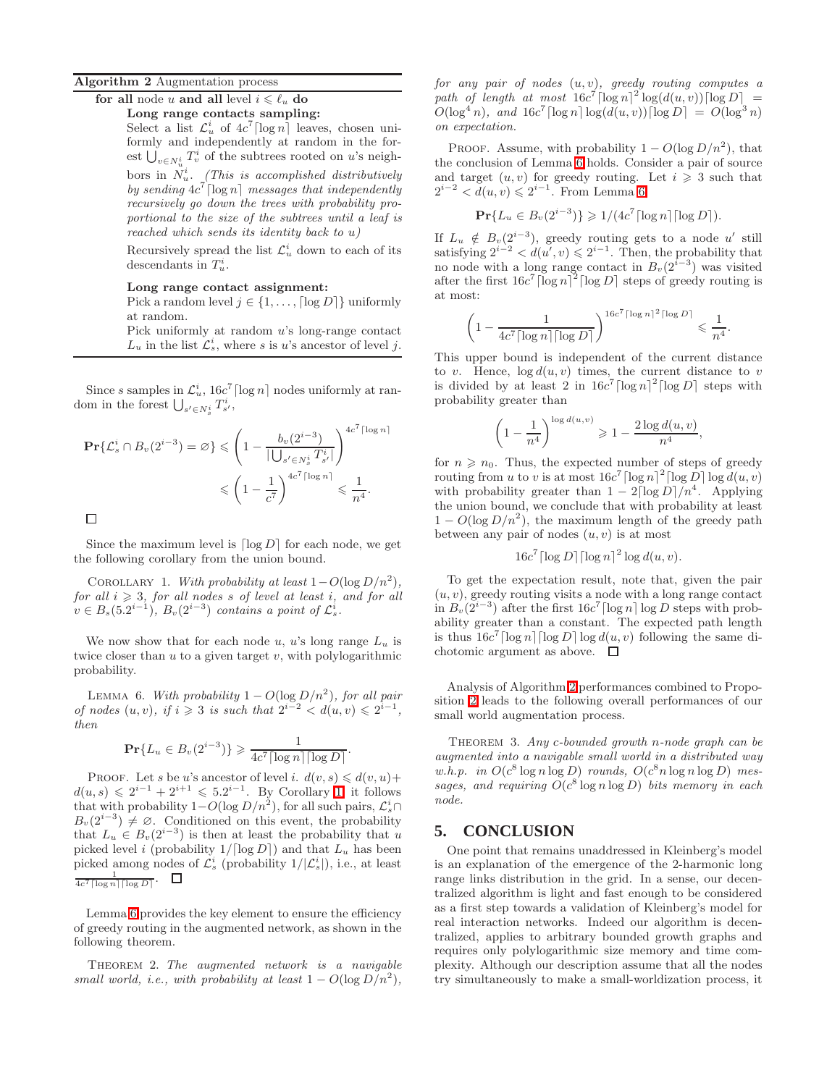#### <span id="page-6-0"></span>Algorithm 2 Augmentation process

## for all node u and all level  $i \leq \ell_u$  do

### Long range contacts sampling:

Select a list  $\mathcal{L}^i_u$  of  $4c^7 \lceil \log n \rceil$  leaves, chosen uniformly and independently at random in the forest  $\bigcup_{v\in N_u^i} T_v^i$  of the subtrees rooted on u's neighbors in  $N_u^i$ . (This is accomplished distributively by sending  $4c^7 \lceil \log n \rceil$  messages that independently recursively go down the trees with probability proportional to the size of the subtrees until a leaf is reached which sends its identity back to u)

Recursively spread the list  $\mathcal{L}_u^i$  down to each of its descendants in  $T_u^i$ .

#### Long range contact assignment:

Pick a random level  $j \in \{1, \ldots, \lceil \log D \rceil\}$  uniformly at random.

Pick uniformly at random u's long-range contact  $L_u$  in the list  $\mathcal{L}_s^i$ , where s is u's ancestor of level j.

Since s samples in  $\mathcal{L}_u^i$ ,  $16c^7 \lceil \log n \rceil$  nodes uniformly at random in the forest  $\bigcup_{s' \in N_s^i} T_{s'}^i$ ,

$$
\begin{split} \mathbf{Pr}\{\mathcal{L}_s^i \cap B_v(2^{i-3}) = \varnothing\} &\leqslant \left(1 - \frac{b_v(2^{i-3})}{|\bigcup_{s' \in N_s^i} T_{s'}^i|}\right)^{4c^7 \lceil \log n \rceil} \\ &\leqslant \left(1 - \frac{1}{c^7}\right)^{4c^7 \lceil \log n \rceil} \leqslant \frac{1}{n^4}. \end{split}
$$

<span id="page-6-1"></span> $\Box$ 

Since the maximum level is  $\lceil \log D \rceil$  for each node, we get the following corollary from the union bound.

COROLLARY 1. With probability at least  $1-O(\log D/n^2)$ , for all  $i \geqslant 3$ , for all nodes s of level at least i, and for all  $v \in B_s(5.2^{i-1}), B_v(2^{i-3})$  contains a point of  $\mathcal{L}_s^i$ .

We now show that for each node u, u's long range  $L_u$  is twice closer than  $u$  to a given target  $v$ , with polylogarithmic probability.

<span id="page-6-2"></span>LEMMA 6. With probability  $1 - O(\log D/n^2)$ , for all pair of nodes  $(u, v)$ , if  $i \geqslant 3$  is such that  $2^{i-2} < d(u, v) \leqslant 2^{i-1}$ , then

$$
\mathbf{Pr}\{L_u \in B_v(2^{i-3})\} \geqslant \frac{1}{4c^7 \lceil \log n \rceil \lceil \log D \rceil}.
$$

PROOF. Let s be u's ancestor of level i.  $d(v, s) \leq d(v, u)$ +  $d(u, s) \leq 2^{i-1} + 2^{i+1} \leqslant 5 \cdot 2^{i-1}$ . By Corollary [1,](#page-6-1) it follows that with probability  $1-O(\log D/n^2)$ , for all such pairs,  $\mathcal{L}_s^i \cap$  $B_v(2^{i-3}) \neq \emptyset$ . Conditioned on this event, the probability that  $L_u \in B_v(2^{i-3})$  is then at least the probability that u picked level i (probability  $1/[\log D]$ ) and that  $L_u$  has been picked among nodes of  $\mathcal{L}_{s}^{i}$  (probability  $1/|\mathcal{L}_{s}^{i}|$ ), i.e., at least  $\frac{1}{4c^7 \lceil \log n \rceil \lceil \log D \rceil}.$ 

Lemma [6](#page-6-2) provides the key element to ensure the efficiency of greedy routing in the augmented network, as shown in the following theorem.

Theorem 2. The augmented network is a navigable small world, i.e., with probability at least  $1 - O(\log D/n^2)$ ,

for any pair of nodes  $(u, v)$ , greedy routing computes a path of length at most  $16c^7 \left[ \log n \right]^2 \log(d(u,v)) \left[ \log D \right] =$  $O(\log^4 n)$ , and  $16c^7 \lceil \log n \rceil \log(d(u, v)) \lceil \log D \rceil = O(\log^3 n)$ on expectation.

PROOF. Assume, with probability  $1 - O(\log D/n^2)$ , that the conclusion of Lemma [6](#page-6-2) holds. Consider a pair of source and target  $(u, v)$  for greedy routing. Let  $i \geq 3$  such that  $2^{i-2} < d(u, v) \leq 2^{i-1}$ . From Lemma [6,](#page-6-2)

$$
\Pr\{L_u \in B_v(2^{i-3})\} \geq 1/(4c^7 \lceil \log n \rceil \lceil \log D \rceil).
$$

If  $L_u \notin B_v(2^{i-3})$ , greedy routing gets to a node u' still satisfying  $2^{i-2} < d(u', v) \le 2^{i-1}$ . Then, the probability that no node with a long range contact in  $B_v(2^{i-3})$  was visited after the first  $16c^7 \lceil \log n \rceil^2 \lceil \log D \rceil$  steps of greedy routing is at most:

$$
\left(1 - \frac{1}{4c^7 \lceil \log n \rceil \lceil \log D \rceil}\right)^{16c^7 \lceil \log n \rceil^2 \lceil \log D \rceil} \leqslant \frac{1}{n^4}.
$$

This upper bound is independent of the current distance to v. Hence,  $\log d(u, v)$  times, the current distance to v is divided by at least 2 in  $16c^7 \lceil \log n \rceil^2 \lceil \log D \rceil$  steps with probability greater than

$$
\left(1 - \frac{1}{n^4}\right)^{\log d(u,v)} \geqslant 1 - \frac{2\log d(u,v)}{n^4},
$$

for  $n \geq n_0$ . Thus, the expected number of steps of greedy routing from u to v is at most  $16c^7 \lceil \log n \rceil^2 \lceil \log D \rceil \log d(u, v)$ with probability greater than  $1 - 2 \lceil \log D \rceil / n^4$ . Applying the union bound, we conclude that with probability at least  $1 - O(\log D/n^2)$ , the maximum length of the greedy path between any pair of nodes  $(u, v)$  is at most

$$
16c7 \lceil \log D \rceil \lceil \log n \rceil2 \log d(u, v).
$$

To get the expectation result, note that, given the pair  $(u, v)$ , greedy routing visits a node with a long range contact in  $B_v(2^{i-3})$  after the first  $16c^7 \lceil \log n \rceil \log D$  steps with probability greater than a constant. The expected path length is thus  $16c^7 \lceil \log n \rceil \lceil \log D \rceil \log d(u, v)$  following the same dichotomic argument as above.  $\square$ 

Analysis of Algorithm [2](#page-6-0) performances combined to Proposition [2](#page-4-4) leads to the following overall performances of our small world augmentation process.

THEOREM 3. Any c-bounded growth n-node graph can be augmented into a navigable small world in a distributed way w.h.p. in  $O(c^8 \log n \log D)$  rounds,  $O(c^8 n \log n \log D)$  messages, and requiring  $O(c^8 \log n \log D)$  bits memory in each node.

## **5. CONCLUSION**

One point that remains unaddressed in Kleinberg's model is an explanation of the emergence of the 2-harmonic long range links distribution in the grid. In a sense, our decentralized algorithm is light and fast enough to be considered as a first step towards a validation of Kleinberg's model for real interaction networks. Indeed our algorithm is decentralized, applies to arbitrary bounded growth graphs and requires only polylogarithmic size memory and time complexity. Although our description assume that all the nodes try simultaneously to make a small-worldization process, it